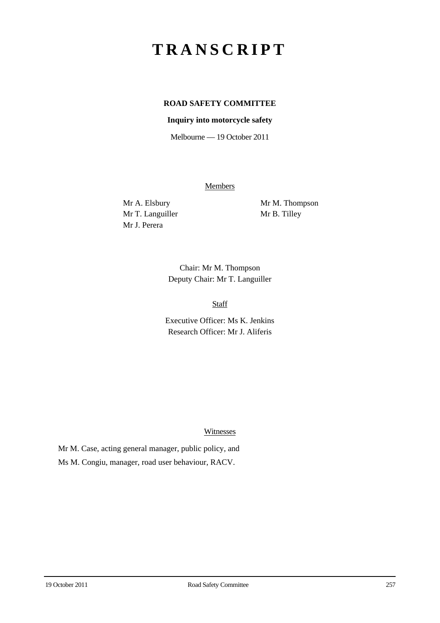## **TRANSCRIPT**

## **ROAD SAFETY COMMITTEE**

## **Inquiry into motorcycle safety**

Melbourne — 19 October 2011

**Members** 

Mr T. Languiller Mr B. Tilley Mr J. Perera

Mr A. Elsbury Mr M. Thompson

Chair: Mr M. Thompson Deputy Chair: Mr T. Languiller

Staff

Executive Officer: Ms K. Jenkins Research Officer: Mr J. Aliferis

Witnesses

Mr M. Case, acting general manager, public policy, and Ms M. Congiu, manager, road user behaviour, RACV.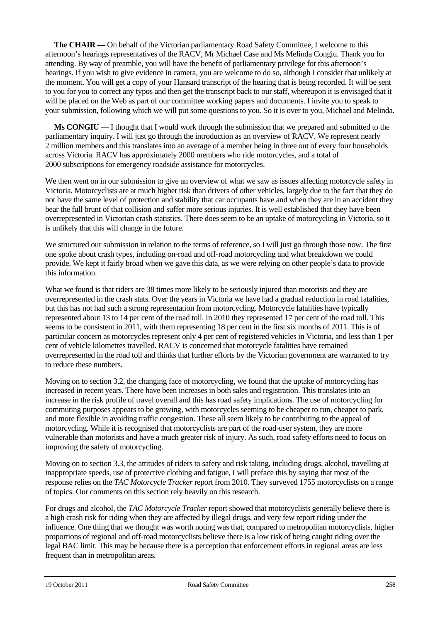**The CHAIR** — On behalf of the Victorian parliamentary Road Safety Committee, I welcome to this afternoon's hearings representatives of the RACV, Mr Michael Case and Ms Melinda Congiu. Thank you for attending. By way of preamble, you will have the benefit of parliamentary privilege for this afternoon's hearings. If you wish to give evidence in camera, you are welcome to do so, although I consider that unlikely at the moment. You will get a copy of your Hansard transcript of the hearing that is being recorded. It will be sent to you for you to correct any typos and then get the transcript back to our staff, whereupon it is envisaged that it will be placed on the Web as part of our committee working papers and documents. I invite you to speak to your submission, following which we will put some questions to you. So it is over to you, Michael and Melinda.

**Ms CONGIU** — I thought that I would work through the submission that we prepared and submitted to the parliamentary inquiry. I will just go through the introduction as an overview of RACV. We represent nearly 2 million members and this translates into an average of a member being in three out of every four households across Victoria. RACV has approximately 2000 members who ride motorcycles, and a total of 2000 subscriptions for emergency roadside assistance for motorcycles.

We then went on in our submission to give an overview of what we saw as issues affecting motorcycle safety in Victoria. Motorcyclists are at much higher risk than drivers of other vehicles, largely due to the fact that they do not have the same level of protection and stability that car occupants have and when they are in an accident they bear the full brunt of that collision and suffer more serious injuries. It is well established that they have been overrepresented in Victorian crash statistics. There does seem to be an uptake of motorcycling in Victoria, so it is unlikely that this will change in the future.

We structured our submission in relation to the terms of reference, so I will just go through those now. The first one spoke about crash types, including on-road and off-road motorcycling and what breakdown we could provide. We kept it fairly broad when we gave this data, as we were relying on other people's data to provide this information.

What we found is that riders are 38 times more likely to be seriously injured than motorists and they are overrepresented in the crash stats. Over the years in Victoria we have had a gradual reduction in road fatalities, but this has not had such a strong representation from motorcycling. Motorcycle fatalities have typically represented about 13 to 14 per cent of the road toll. In 2010 they represented 17 per cent of the road toll. This seems to be consistent in 2011, with them representing 18 per cent in the first six months of 2011. This is of particular concern as motorcycles represent only 4 per cent of registered vehicles in Victoria, and less than 1 per cent of vehicle kilometres travelled. RACV is concerned that motorcycle fatalities have remained overrepresented in the road toll and thinks that further efforts by the Victorian government are warranted to try to reduce these numbers.

Moving on to section 3.2, the changing face of motorcycling, we found that the uptake of motorcycling has increased in recent years. There have been increases in both sales and registration. This translates into an increase in the risk profile of travel overall and this has road safety implications. The use of motorcycling for commuting purposes appears to be growing, with motorcycles seeming to be cheaper to run, cheaper to park, and more flexible in avoiding traffic congestion. These all seem likely to be contributing to the appeal of motorcycling. While it is recognised that motorcyclists are part of the road-user system, they are more vulnerable than motorists and have a much greater risk of injury. As such, road safety efforts need to focus on improving the safety of motorcycling.

Moving on to section 3.3, the attitudes of riders to safety and risk taking, including drugs, alcohol, travelling at inappropriate speeds, use of protective clothing and fatigue, I will preface this by saying that most of the response relies on the *TAC Motorcycle Tracker* report from 2010. They surveyed 1755 motorcyclists on a range of topics. Our comments on this section rely heavily on this research.

For drugs and alcohol, the *TAC Motorcycle Tracker* report showed that motorcyclists generally believe there is a high crash risk for riding when they are affected by illegal drugs, and very few report riding under the influence. One thing that we thought was worth noting was that, compared to metropolitan motorcyclists, higher proportions of regional and off-road motorcyclists believe there is a low risk of being caught riding over the legal BAC limit. This may be because there is a perception that enforcement efforts in regional areas are less frequent than in metropolitan areas.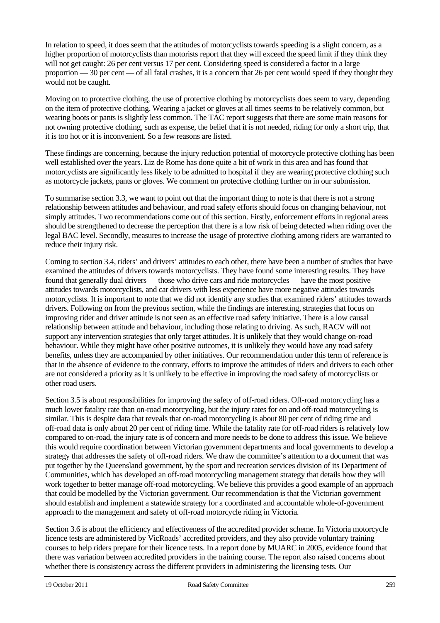In relation to speed, it does seem that the attitudes of motorcyclists towards speeding is a slight concern, as a higher proportion of motorcyclists than motorists report that they will exceed the speed limit if they think they will not get caught: 26 per cent versus 17 per cent. Considering speed is considered a factor in a large proportion — 30 per cent — of all fatal crashes, it is a concern that 26 per cent would speed if they thought they would not be caught.

Moving on to protective clothing, the use of protective clothing by motorcyclists does seem to vary, depending on the item of protective clothing. Wearing a jacket or gloves at all times seems to be relatively common, but wearing boots or pants is slightly less common. The TAC report suggests that there are some main reasons for not owning protective clothing, such as expense, the belief that it is not needed, riding for only a short trip, that it is too hot or it is inconvenient. So a few reasons are listed.

These findings are concerning, because the injury reduction potential of motorcycle protective clothing has been well established over the years. Liz de Rome has done quite a bit of work in this area and has found that motorcyclists are significantly less likely to be admitted to hospital if they are wearing protective clothing such as motorcycle jackets, pants or gloves. We comment on protective clothing further on in our submission.

To summarise section 3.3, we want to point out that the important thing to note is that there is not a strong relationship between attitudes and behaviour, and road safety efforts should focus on changing behaviour, not simply attitudes. Two recommendations come out of this section. Firstly, enforcement efforts in regional areas should be strengthened to decrease the perception that there is a low risk of being detected when riding over the legal BAC level. Secondly, measures to increase the usage of protective clothing among riders are warranted to reduce their injury risk.

Coming to section 3.4, riders' and drivers' attitudes to each other, there have been a number of studies that have examined the attitudes of drivers towards motorcyclists. They have found some interesting results. They have found that generally dual drivers — those who drive cars and ride motorcycles — have the most positive attitudes towards motorcyclists, and car drivers with less experience have more negative attitudes towards motorcyclists. It is important to note that we did not identify any studies that examined riders' attitudes towards drivers. Following on from the previous section, while the findings are interesting, strategies that focus on improving rider and driver attitude is not seen as an effective road safety initiative. There is a low causal relationship between attitude and behaviour, including those relating to driving. As such, RACV will not support any intervention strategies that only target attitudes. It is unlikely that they would change on-road behaviour. While they might have other positive outcomes, it is unlikely they would have any road safety benefits, unless they are accompanied by other initiatives. Our recommendation under this term of reference is that in the absence of evidence to the contrary, efforts to improve the attitudes of riders and drivers to each other are not considered a priority as it is unlikely to be effective in improving the road safety of motorcyclists or other road users.

Section 3.5 is about responsibilities for improving the safety of off-road riders. Off-road motorcycling has a much lower fatality rate than on-road motorcycling, but the injury rates for on and off-road motorcycling is similar. This is despite data that reveals that on-road motorcycling is about 80 per cent of riding time and off-road data is only about 20 per cent of riding time. While the fatality rate for off-road riders is relatively low compared to on-road, the injury rate is of concern and more needs to be done to address this issue. We believe this would require coordination between Victorian government departments and local governments to develop a strategy that addresses the safety of off-road riders. We draw the committee's attention to a document that was put together by the Queensland government, by the sport and recreation services division of its Department of Communities, which has developed an off-road motorcycling management strategy that details how they will work together to better manage off-road motorcycling. We believe this provides a good example of an approach that could be modelled by the Victorian government. Our recommendation is that the Victorian government should establish and implement a statewide strategy for a coordinated and accountable whole-of-government approach to the management and safety of off-road motorcycle riding in Victoria.

Section 3.6 is about the efficiency and effectiveness of the accredited provider scheme. In Victoria motorcycle licence tests are administered by VicRoads' accredited providers, and they also provide voluntary training courses to help riders prepare for their licence tests. In a report done by MUARC in 2005, evidence found that there was variation between accredited providers in the training course. The report also raised concerns about whether there is consistency across the different providers in administering the licensing tests. Our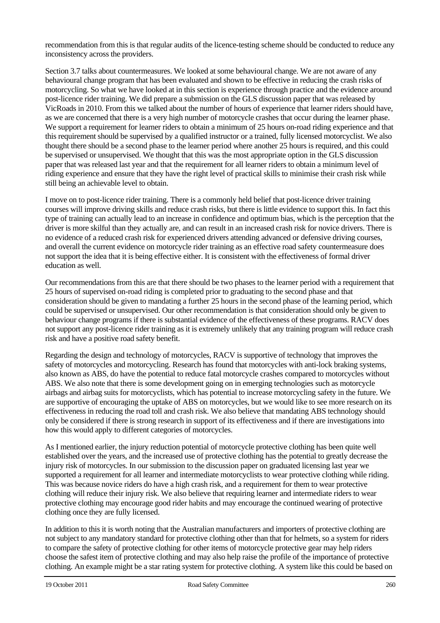recommendation from this is that regular audits of the licence-testing scheme should be conducted to reduce any inconsistency across the providers.

Section 3.7 talks about countermeasures. We looked at some behavioural change. We are not aware of any behavioural change program that has been evaluated and shown to be effective in reducing the crash risks of motorcycling. So what we have looked at in this section is experience through practice and the evidence around post-licence rider training. We did prepare a submission on the GLS discussion paper that was released by VicRoads in 2010. From this we talked about the number of hours of experience that learner riders should have, as we are concerned that there is a very high number of motorcycle crashes that occur during the learner phase. We support a requirement for learner riders to obtain a minimum of 25 hours on-road riding experience and that this requirement should be supervised by a qualified instructor or a trained, fully licensed motorcyclist. We also thought there should be a second phase to the learner period where another 25 hours is required, and this could be supervised or unsupervised. We thought that this was the most appropriate option in the GLS discussion paper that was released last year and that the requirement for all learner riders to obtain a minimum level of riding experience and ensure that they have the right level of practical skills to minimise their crash risk while still being an achievable level to obtain.

I move on to post-licence rider training. There is a commonly held belief that post-licence driver training courses will improve driving skills and reduce crash risks, but there is little evidence to support this. In fact this type of training can actually lead to an increase in confidence and optimum bias, which is the perception that the driver is more skilful than they actually are, and can result in an increased crash risk for novice drivers. There is no evidence of a reduced crash risk for experienced drivers attending advanced or defensive driving courses, and overall the current evidence on motorcycle rider training as an effective road safety countermeasure does not support the idea that it is being effective either. It is consistent with the effectiveness of formal driver education as well.

Our recommendations from this are that there should be two phases to the learner period with a requirement that 25 hours of supervised on-road riding is completed prior to graduating to the second phase and that consideration should be given to mandating a further 25 hours in the second phase of the learning period, which could be supervised or unsupervised. Our other recommendation is that consideration should only be given to behaviour change programs if there is substantial evidence of the effectiveness of these programs. RACV does not support any post-licence rider training as it is extremely unlikely that any training program will reduce crash risk and have a positive road safety benefit.

Regarding the design and technology of motorcycles, RACV is supportive of technology that improves the safety of motorcycles and motorcycling. Research has found that motorcycles with anti-lock braking systems, also known as ABS, do have the potential to reduce fatal motorcycle crashes compared to motorcycles without ABS. We also note that there is some development going on in emerging technologies such as motorcycle airbags and airbag suits for motorcyclists, which has potential to increase motorcycling safety in the future. We are supportive of encouraging the uptake of ABS on motorcycles, but we would like to see more research on its effectiveness in reducing the road toll and crash risk. We also believe that mandating ABS technology should only be considered if there is strong research in support of its effectiveness and if there are investigations into how this would apply to different categories of motorcycles.

As I mentioned earlier, the injury reduction potential of motorcycle protective clothing has been quite well established over the years, and the increased use of protective clothing has the potential to greatly decrease the injury risk of motorcycles. In our submission to the discussion paper on graduated licensing last year we supported a requirement for all learner and intermediate motorcyclists to wear protective clothing while riding. This was because novice riders do have a high crash risk, and a requirement for them to wear protective clothing will reduce their injury risk. We also believe that requiring learner and intermediate riders to wear protective clothing may encourage good rider habits and may encourage the continued wearing of protective clothing once they are fully licensed.

In addition to this it is worth noting that the Australian manufacturers and importers of protective clothing are not subject to any mandatory standard for protective clothing other than that for helmets, so a system for riders to compare the safety of protective clothing for other items of motorcycle protective gear may help riders choose the safest item of protective clothing and may also help raise the profile of the importance of protective clothing. An example might be a star rating system for protective clothing. A system like this could be based on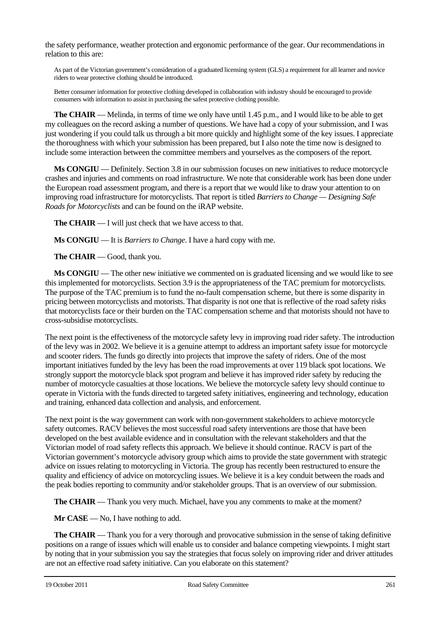the safety performance, weather protection and ergonomic performance of the gear. Our recommendations in relation to this are:

As part of the Victorian government's consideration of a graduated licensing system (GLS) a requirement for all learner and novice riders to wear protective clothing should be introduced.

Better consumer information for protective clothing developed in collaboration with industry should be encouraged to provide consumers with information to assist in purchasing the safest protective clothing possible.

**The CHAIR** — Melinda, in terms of time we only have until 1.45 p.m., and I would like to be able to get my colleagues on the record asking a number of questions. We have had a copy of your submission, and I was just wondering if you could talk us through a bit more quickly and highlight some of the key issues. I appreciate the thoroughness with which your submission has been prepared, but I also note the time now is designed to include some interaction between the committee members and yourselves as the composers of the report.

**Ms CONGIU** — Definitely. Section 3.8 in our submission focuses on new initiatives to reduce motorcycle crashes and injuries and comments on road infrastructure. We note that considerable work has been done under the European road assessment program, and there is a report that we would like to draw your attention to on improving road infrastructure for motorcyclists. That report is titled *Barriers to Change — Designing Safe Roads for Motorcyclists* and can be found on the iRAP website.

**The CHAIR** — I will just check that we have access to that.

**Ms CONGIU** — It is *Barriers to Change*. I have a hard copy with me.

**The CHAIR** — Good, thank you.

**Ms CONGIU** — The other new initiative we commented on is graduated licensing and we would like to see this implemented for motorcyclists. Section 3.9 is the appropriateness of the TAC premium for motorcyclists. The purpose of the TAC premium is to fund the no-fault compensation scheme, but there is some disparity in pricing between motorcyclists and motorists. That disparity is not one that is reflective of the road safety risks that motorcyclists face or their burden on the TAC compensation scheme and that motorists should not have to cross-subsidise motorcyclists.

The next point is the effectiveness of the motorcycle safety levy in improving road rider safety. The introduction of the levy was in 2002. We believe it is a genuine attempt to address an important safety issue for motorcycle and scooter riders. The funds go directly into projects that improve the safety of riders. One of the most important initiatives funded by the levy has been the road improvements at over 119 black spot locations. We strongly support the motorcycle black spot program and believe it has improved rider safety by reducing the number of motorcycle casualties at those locations. We believe the motorcycle safety levy should continue to operate in Victoria with the funds directed to targeted safety initiatives, engineering and technology, education and training, enhanced data collection and analysis, and enforcement.

The next point is the way government can work with non-government stakeholders to achieve motorcycle safety outcomes. RACV believes the most successful road safety interventions are those that have been developed on the best available evidence and in consultation with the relevant stakeholders and that the Victorian model of road safety reflects this approach. We believe it should continue. RACV is part of the Victorian government's motorcycle advisory group which aims to provide the state government with strategic advice on issues relating to motorcycling in Victoria. The group has recently been restructured to ensure the quality and efficiency of advice on motorcycling issues. We believe it is a key conduit between the roads and the peak bodies reporting to community and/or stakeholder groups. That is an overview of our submission.

**The CHAIR** — Thank you very much. Michael, have you any comments to make at the moment?

**Mr CASE** — No, I have nothing to add.

**The CHAIR** — Thank you for a very thorough and provocative submission in the sense of taking definitive positions on a range of issues which will enable us to consider and balance competing viewpoints. I might start by noting that in your submission you say the strategies that focus solely on improving rider and driver attitudes are not an effective road safety initiative. Can you elaborate on this statement?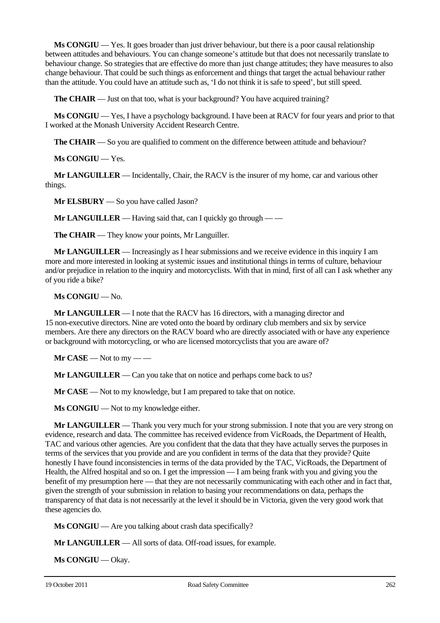**Ms CONGIU** — Yes. It goes broader than just driver behaviour, but there is a poor causal relationship between attitudes and behaviours. You can change someone's attitude but that does not necessarily translate to behaviour change. So strategies that are effective do more than just change attitudes; they have measures to also change behaviour. That could be such things as enforcement and things that target the actual behaviour rather than the attitude. You could have an attitude such as, 'I do not think it is safe to speed', but still speed.

**The CHAIR** — Just on that too, what is your background? You have acquired training?

**Ms CONGIU** — Yes, I have a psychology background. I have been at RACV for four years and prior to that I worked at the Monash University Accident Research Centre.

**The CHAIR** — So you are qualified to comment on the difference between attitude and behaviour?

**Ms CONGIU** — Yes.

**Mr LANGUILLER** — Incidentally, Chair, the RACV is the insurer of my home, car and various other things.

**Mr ELSBURY** — So you have called Jason?

**Mr LANGUILLER** — Having said that, can I quickly go through — —

**The CHAIR** — They know your points, Mr Languiller.

**Mr LANGUILLER** — Increasingly as I hear submissions and we receive evidence in this inquiry I am more and more interested in looking at systemic issues and institutional things in terms of culture, behaviour and/or prejudice in relation to the inquiry and motorcyclists. With that in mind, first of all can I ask whether any of you ride a bike?

**Ms CONGIU** — No.

**Mr LANGUILLER** — I note that the RACV has 16 directors, with a managing director and 15 non-executive directors. Nine are voted onto the board by ordinary club members and six by service members. Are there any directors on the RACV board who are directly associated with or have any experience or background with motorcycling, or who are licensed motorcyclists that you are aware of?

 $Mr$  **CASE** — Not to my — —

**Mr LANGUILLER** — Can you take that on notice and perhaps come back to us?

**Mr CASE** — Not to my knowledge, but I am prepared to take that on notice.

**Ms CONGIU** — Not to my knowledge either.

**Mr LANGUILLER** — Thank you very much for your strong submission. I note that you are very strong on evidence, research and data. The committee has received evidence from VicRoads, the Department of Health, TAC and various other agencies. Are you confident that the data that they have actually serves the purposes in terms of the services that you provide and are you confident in terms of the data that they provide? Quite honestly I have found inconsistencies in terms of the data provided by the TAC, VicRoads, the Department of Health, the Alfred hospital and so on. I get the impression — I am being frank with you and giving you the benefit of my presumption here — that they are not necessarily communicating with each other and in fact that, given the strength of your submission in relation to basing your recommendations on data, perhaps the transparency of that data is not necessarily at the level it should be in Victoria, given the very good work that these agencies do.

**Ms CONGIU** — Are you talking about crash data specifically?

**Mr LANGUILLER** — All sorts of data. Off-road issues, for example.

**Ms CONGIU** — Okay.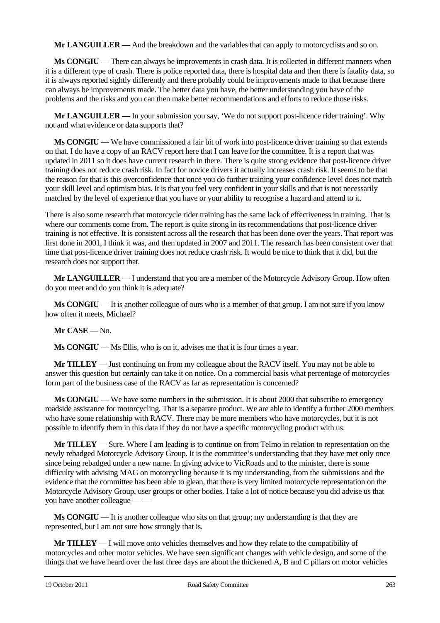**Mr LANGUILLER** — And the breakdown and the variables that can apply to motorcyclists and so on.

**Ms CONGIU** — There can always be improvements in crash data. It is collected in different manners when it is a different type of crash. There is police reported data, there is hospital data and then there is fatality data, so it is always reported sightly differently and there probably could be improvements made to that because there can always be improvements made. The better data you have, the better understanding you have of the problems and the risks and you can then make better recommendations and efforts to reduce those risks.

**Mr LANGUILLER** — In your submission you say, 'We do not support post-licence rider training'. Why not and what evidence or data supports that?

**Ms CONGIU** — We have commissioned a fair bit of work into post-licence driver training so that extends on that. I do have a copy of an RACV report here that I can leave for the committee. It is a report that was updated in 2011 so it does have current research in there. There is quite strong evidence that post-licence driver training does not reduce crash risk. In fact for novice drivers it actually increases crash risk. It seems to be that the reason for that is this overconfidence that once you do further training your confidence level does not match your skill level and optimism bias. It is that you feel very confident in your skills and that is not necessarily matched by the level of experience that you have or your ability to recognise a hazard and attend to it.

There is also some research that motorcycle rider training has the same lack of effectiveness in training. That is where our comments come from. The report is quite strong in its recommendations that post-licence driver training is not effective. It is consistent across all the research that has been done over the years. That report was first done in 2001, I think it was, and then updated in 2007 and 2011. The research has been consistent over that time that post-licence driver training does not reduce crash risk. It would be nice to think that it did, but the research does not support that.

**Mr LANGUILLER** — I understand that you are a member of the Motorcycle Advisory Group. How often do you meet and do you think it is adequate?

**Ms CONGIU** — It is another colleague of ours who is a member of that group. I am not sure if you know how often it meets, Michael?

**Mr CASE** — No.

**Ms CONGIU** — Ms Ellis, who is on it, advises me that it is four times a year.

**Mr TILLEY** — Just continuing on from my colleague about the RACV itself. You may not be able to answer this question but certainly can take it on notice. On a commercial basis what percentage of motorcycles form part of the business case of the RACV as far as representation is concerned?

**Ms CONGIU** — We have some numbers in the submission. It is about 2000 that subscribe to emergency roadside assistance for motorcycling. That is a separate product. We are able to identify a further 2000 members who have some relationship with RACV. There may be more members who have motorcycles, but it is not possible to identify them in this data if they do not have a specific motorcycling product with us.

**Mr TILLEY** — Sure. Where I am leading is to continue on from Telmo in relation to representation on the newly rebadged Motorcycle Advisory Group. It is the committee's understanding that they have met only once since being rebadged under a new name. In giving advice to VicRoads and to the minister, there is some difficulty with advising MAG on motorcycling because it is my understanding, from the submissions and the evidence that the committee has been able to glean, that there is very limited motorcycle representation on the Motorcycle Advisory Group, user groups or other bodies. I take a lot of notice because you did advise us that you have another colleague — —

**Ms CONGIU** — It is another colleague who sits on that group; my understanding is that they are represented, but I am not sure how strongly that is.

**Mr TILLEY** — I will move onto vehicles themselves and how they relate to the compatibility of motorcycles and other motor vehicles. We have seen significant changes with vehicle design, and some of the things that we have heard over the last three days are about the thickened A, B and C pillars on motor vehicles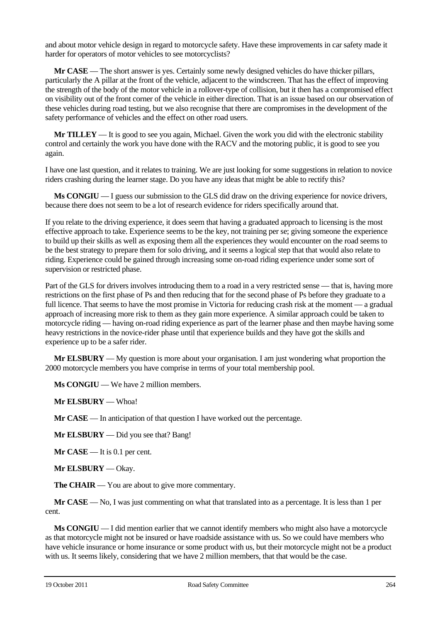and about motor vehicle design in regard to motorcycle safety. Have these improvements in car safety made it harder for operators of motor vehicles to see motorcyclists?

**Mr CASE** — The short answer is yes. Certainly some newly designed vehicles do have thicker pillars, particularly the A pillar at the front of the vehicle, adjacent to the windscreen. That has the effect of improving the strength of the body of the motor vehicle in a rollover-type of collision, but it then has a compromised effect on visibility out of the front corner of the vehicle in either direction. That is an issue based on our observation of these vehicles during road testing, but we also recognise that there are compromises in the development of the safety performance of vehicles and the effect on other road users.

**Mr TILLEY** — It is good to see you again, Michael. Given the work you did with the electronic stability control and certainly the work you have done with the RACV and the motoring public, it is good to see you again.

I have one last question, and it relates to training. We are just looking for some suggestions in relation to novice riders crashing during the learner stage. Do you have any ideas that might be able to rectify this?

**Ms CONGIU** — I guess our submission to the GLS did draw on the driving experience for novice drivers, because there does not seem to be a lot of research evidence for riders specifically around that.

If you relate to the driving experience, it does seem that having a graduated approach to licensing is the most effective approach to take. Experience seems to be the key, not training per se; giving someone the experience to build up their skills as well as exposing them all the experiences they would encounter on the road seems to be the best strategy to prepare them for solo driving, and it seems a logical step that that would also relate to riding. Experience could be gained through increasing some on-road riding experience under some sort of supervision or restricted phase.

Part of the GLS for drivers involves introducing them to a road in a very restricted sense — that is, having more restrictions on the first phase of Ps and then reducing that for the second phase of Ps before they graduate to a full licence. That seems to have the most promise in Victoria for reducing crash risk at the moment — a gradual approach of increasing more risk to them as they gain more experience. A similar approach could be taken to motorcycle riding — having on-road riding experience as part of the learner phase and then maybe having some heavy restrictions in the novice-rider phase until that experience builds and they have got the skills and experience up to be a safer rider.

**Mr ELSBURY** — My question is more about your organisation. I am just wondering what proportion the 2000 motorcycle members you have comprise in terms of your total membership pool.

**Ms CONGIU** — We have 2 million members.

**Mr ELSBURY** — Whoa!

**Mr CASE** — In anticipation of that question I have worked out the percentage.

**Mr ELSBURY** — Did you see that? Bang!

**Mr CASE** — It is 0.1 per cent.

**Mr ELSBURY** — Okay.

**The CHAIR** — You are about to give more commentary.

**Mr CASE** — No, I was just commenting on what that translated into as a percentage. It is less than 1 per cent.

**Ms CONGIU** — I did mention earlier that we cannot identify members who might also have a motorcycle as that motorcycle might not be insured or have roadside assistance with us. So we could have members who have vehicle insurance or home insurance or some product with us, but their motorcycle might not be a product with us. It seems likely, considering that we have 2 million members, that that would be the case.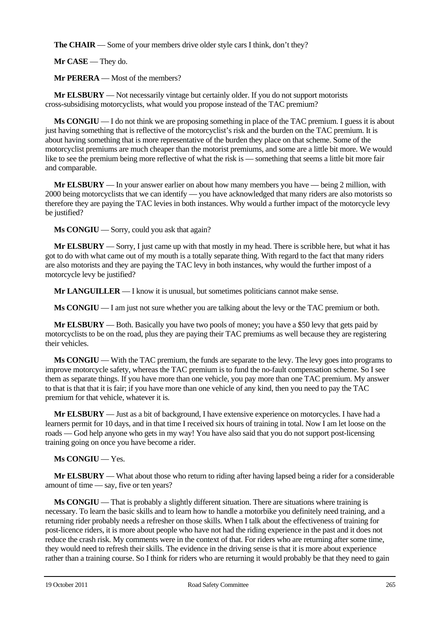**The CHAIR** — Some of your members drive older style cars I think, don't they?

**Mr CASE** — They do.

**Mr PERERA** — Most of the members?

**Mr ELSBURY** — Not necessarily vintage but certainly older. If you do not support motorists cross-subsidising motorcyclists, what would you propose instead of the TAC premium?

**Ms CONGIU** — I do not think we are proposing something in place of the TAC premium. I guess it is about just having something that is reflective of the motorcyclist's risk and the burden on the TAC premium. It is about having something that is more representative of the burden they place on that scheme. Some of the motorcyclist premiums are much cheaper than the motorist premiums, and some are a little bit more. We would like to see the premium being more reflective of what the risk is — something that seems a little bit more fair and comparable.

**Mr ELSBURY** — In your answer earlier on about how many members you have — being 2 million, with 2000 being motorcyclists that we can identify — you have acknowledged that many riders are also motorists so therefore they are paying the TAC levies in both instances. Why would a further impact of the motorcycle levy be justified?

**Ms CONGIU** — Sorry, could you ask that again?

**Mr ELSBURY** — Sorry, I just came up with that mostly in my head. There is scribble here, but what it has got to do with what came out of my mouth is a totally separate thing. With regard to the fact that many riders are also motorists and they are paying the TAC levy in both instances, why would the further impost of a motorcycle levy be justified?

**Mr LANGUILLER** — I know it is unusual, but sometimes politicians cannot make sense.

**Ms CONGIU** — I am just not sure whether you are talking about the levy or the TAC premium or both.

**Mr ELSBURY** — Both. Basically you have two pools of money; you have a \$50 levy that gets paid by motorcyclists to be on the road, plus they are paying their TAC premiums as well because they are registering their vehicles.

**Ms CONGIU** — With the TAC premium, the funds are separate to the levy. The levy goes into programs to improve motorcycle safety, whereas the TAC premium is to fund the no-fault compensation scheme. So I see them as separate things. If you have more than one vehicle, you pay more than one TAC premium. My answer to that is that that it is fair; if you have more than one vehicle of any kind, then you need to pay the TAC premium for that vehicle, whatever it is.

**Mr ELSBURY** — Just as a bit of background, I have extensive experience on motorcycles. I have had a learners permit for 10 days, and in that time I received six hours of training in total. Now I am let loose on the roads — God help anyone who gets in my way! You have also said that you do not support post-licensing training going on once you have become a rider.

## **Ms CONGIU** — Yes.

**Mr ELSBURY** — What about those who return to riding after having lapsed being a rider for a considerable amount of time — say, five or ten years?

**Ms CONGIU** — That is probably a slightly different situation. There are situations where training is necessary. To learn the basic skills and to learn how to handle a motorbike you definitely need training, and a returning rider probably needs a refresher on those skills. When I talk about the effectiveness of training for post-licence riders, it is more about people who have not had the riding experience in the past and it does not reduce the crash risk. My comments were in the context of that. For riders who are returning after some time, they would need to refresh their skills. The evidence in the driving sense is that it is more about experience rather than a training course. So I think for riders who are returning it would probably be that they need to gain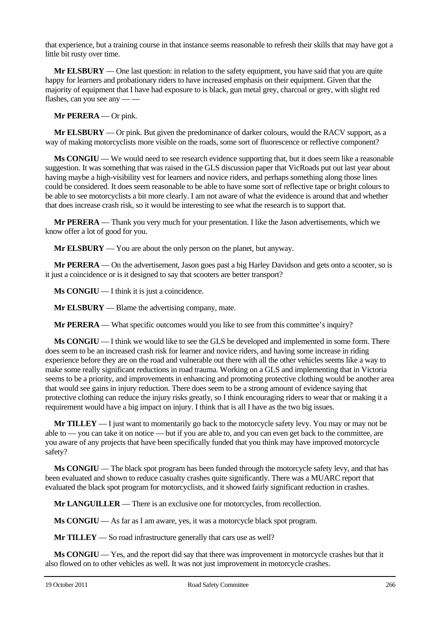that experience, but a training course in that instance seems reasonable to refresh their skills that may have got a little bit rusty over time.

**Mr ELSBURY** — One last question: in relation to the safety equipment, you have said that you are quite happy for learners and probationary riders to have increased emphasis on their equipment. Given that the majority of equipment that I have had exposure to is black, gun metal grey, charcoal or grey, with slight red flashes, can you see any — —

**Mr PERERA** — Or pink.

**Mr ELSBURY** — Or pink. But given the predominance of darker colours, would the RACV support, as a way of making motorcyclists more visible on the roads, some sort of fluorescence or reflective component?

**Ms CONGIU** — We would need to see research evidence supporting that, but it does seem like a reasonable suggestion. It was something that was raised in the GLS discussion paper that VicRoads put out last year about having maybe a high-visibility vest for learners and novice riders, and perhaps something along those lines could be considered. It does seem reasonable to be able to have some sort of reflective tape or bright colours to be able to see motorcyclists a bit more clearly. I am not aware of what the evidence is around that and whether that does increase crash risk, so it would be interesting to see what the research is to support that.

**Mr PERERA** — Thank you very much for your presentation. I like the Jason advertisements, which we know offer a lot of good for you.

**Mr ELSBURY** — You are about the only person on the planet, but anyway.

**Mr PERERA** — On the advertisement, Jason goes past a big Harley Davidson and gets onto a scooter, so is it just a coincidence or is it designed to say that scooters are better transport?

**Ms CONGIU** — I think it is just a coincidence.

**Mr ELSBURY** — Blame the advertising company, mate.

**Mr PERERA** — What specific outcomes would you like to see from this committee's inquiry?

**Ms CONGIU** — I think we would like to see the GLS be developed and implemented in some form. There does seem to be an increased crash risk for learner and novice riders, and having some increase in riding experience before they are on the road and vulnerable out there with all the other vehicles seems like a way to make some really significant reductions in road trauma. Working on a GLS and implementing that in Victoria seems to be a priority, and improvements in enhancing and promoting protective clothing would be another area that would see gains in injury reduction. There does seem to be a strong amount of evidence saying that protective clothing can reduce the injury risks greatly, so I think encouraging riders to wear that or making it a requirement would have a big impact on injury. I think that is all I have as the two big issues.

**Mr TILLEY** — I just want to momentarily go back to the motorcycle safety levy. You may or may not be able to — you can take it on notice — but if you are able to, and you can even get back to the committee, are you aware of any projects that have been specifically funded that you think may have improved motorcycle safety?

**Ms CONGIU** — The black spot program has been funded through the motorcycle safety levy, and that has been evaluated and shown to reduce casualty crashes quite significantly. There was a MUARC report that evaluated the black spot program for motorcyclists, and it showed fairly significant reduction in crashes.

**Mr LANGUILLER** — There is an exclusive one for motorcycles, from recollection.

**Ms CONGIU** — As far as I am aware, yes, it was a motorcycle black spot program.

**Mr TILLEY** — So road infrastructure generally that cars use as well?

**Ms CONGIU** — Yes, and the report did say that there was improvement in motorcycle crashes but that it also flowed on to other vehicles as well. It was not just improvement in motorcycle crashes.